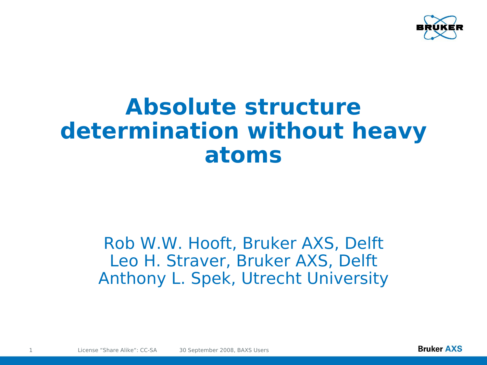

# **Absolute structure determination without heavy atoms**

#### Rob W.W. Hooft, Bruker AXS, Delft Leo H. Straver, Bruker AXS, Delft Anthony L. Spek, Utrecht University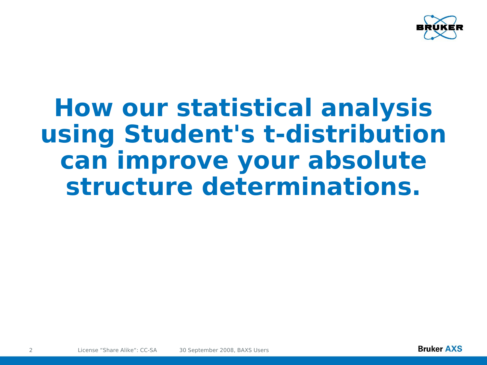

# **How our statistical analysis using Student's t-distribution can improve your absolute structure determinations.**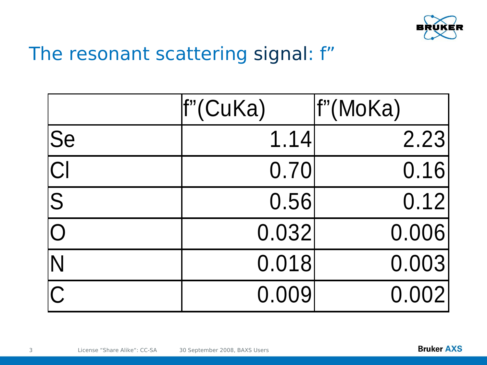

### The resonant scattering signal: f"

|                            | f"(CuKa) | f"(MoKa) |
|----------------------------|----------|----------|
| $ {\rm Se} $               | 1.14     | 2.23     |
| $\overline{\text{Cl}}$     | 0.70     | 0.16     |
| $ \overline{\mathcal{S}} $ | 0.56     | 0.12     |
|                            | 0.032    | 0.006    |
| N                          | 0.018    | 0.003    |
| $\overline{C}$             | 0.009    | 0.002    |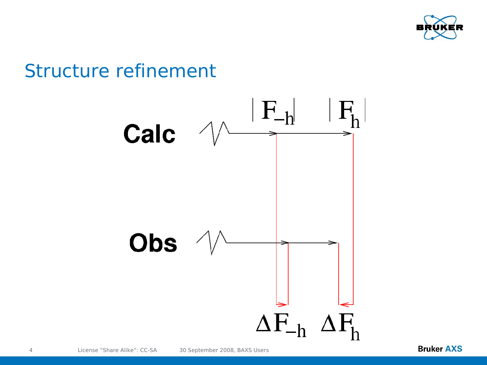

### Structure refinement

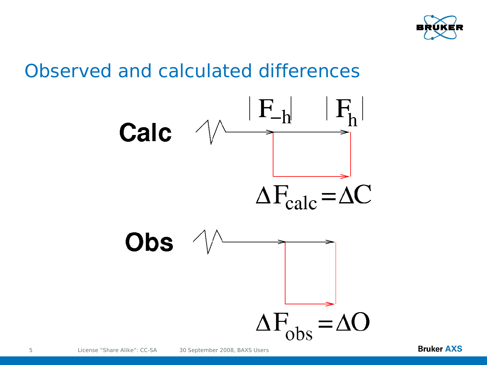

### Observed and calculated differences

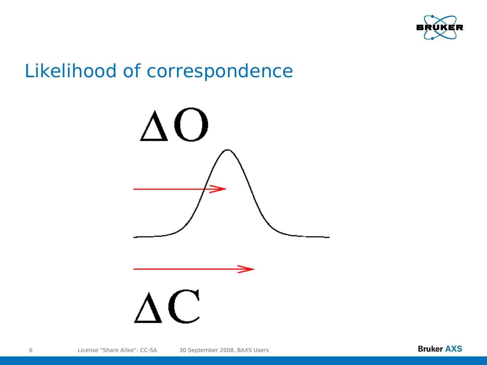

### Likelihood of correspondence

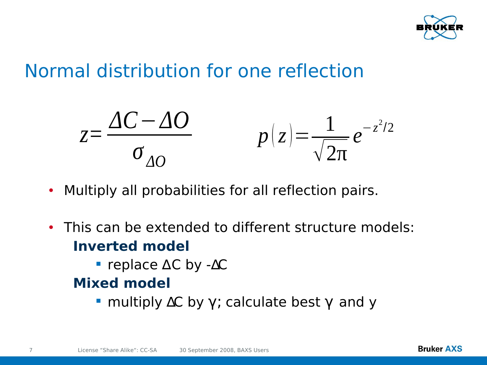

### Normal distribution for one reflection



- Multiply all probabilities for all reflection pairs.
- This can be extended to different structure models: **Inverted model**
	- replace ∆C by -∆C

#### **Mixed model**

multiply  $\Delta C$  by  $\gamma$ ; calculate best  $\gamma$  and y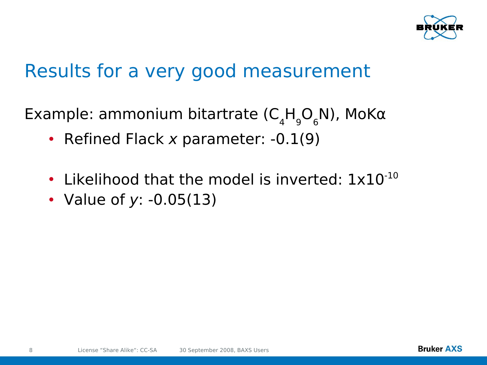

### Results for a very good measurement

Example: ammonium bitartrate ( $C_4H_9O_6N$ ), MoK $\alpha$ 

- Refined Flack x parameter: -0.1(9)
- Likelihood that the model is inverted:  $1 \times 10^{-10}$
- Value of y: -0.05(13)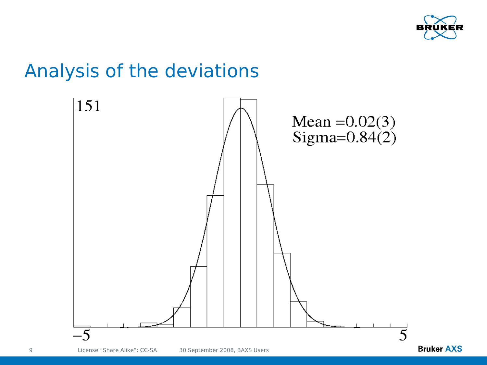

### Analysis of the deviations

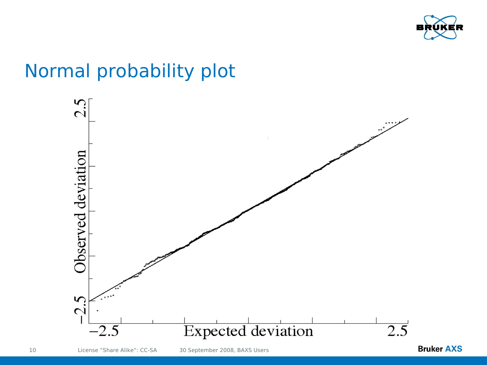

### Normal probability plot



10 License "Share Alike": CC-SA 30 September 2008, BAXS Users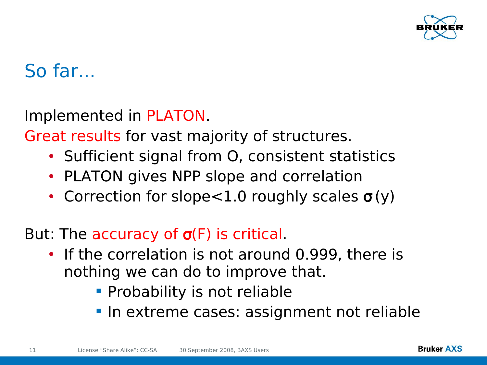

### So far...

Implemented in PLATON.

Great results for vast majority of structures.

- Sufficient signal from O, consistent statistics
- PLATON gives NPP slope and correlation
- Correction for slope < 1.0 roughly scales  $\sigma(y)$
- But: The accuracy of  $\sigma(F)$  is critical.
	- If the correlation is not around 0.999, there is nothing we can do to improve that.
		- **Probability is not reliable**
		- In extreme cases: assignment not reliable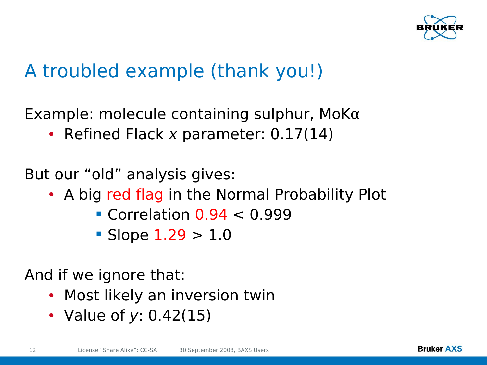

### A troubled example (thank you!)

Example: molecule containing sulphur, MoK $\alpha$ 

• Refined Flack x parameter: 0.17(14)

But our "old" analysis gives:

- A big red flag in the Normal Probability Plot
	- Correlation  $0.94 < 0.999$
	- Slope  $1.29 > 1.0$

And if we ignore that:

- Most likely an inversion twin
- Value of y: 0.42(15)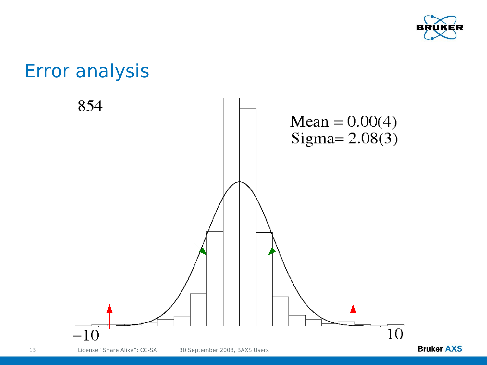

### Error analysis

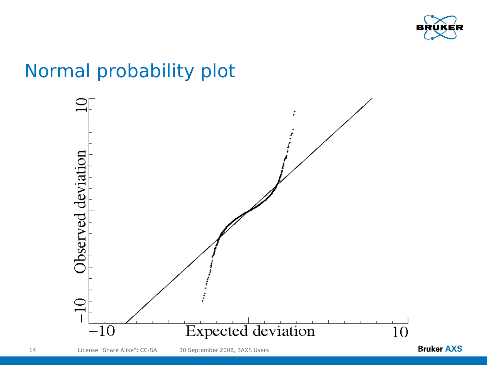

### Normal probability plot

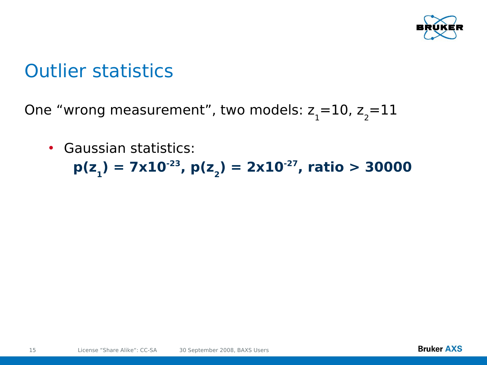

### Outlier statistics

One "wrong measurement", two models:  $z_{1}$ =10,  $z_{2}$ =11

#### • Gaussian statistics:

**p(z<sup>1</sup> ) = 7x10-23, p(z<sup>2</sup> ) = 2x10-27, ratio > 30000**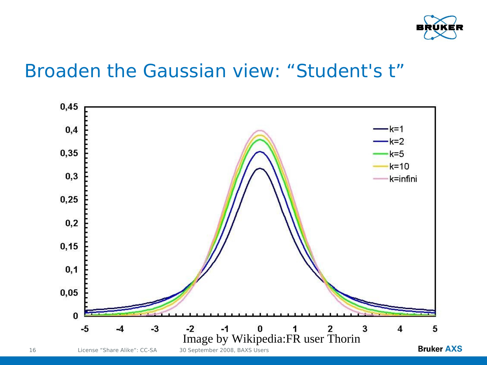

### Broaden the Gaussian view: "Student's t"

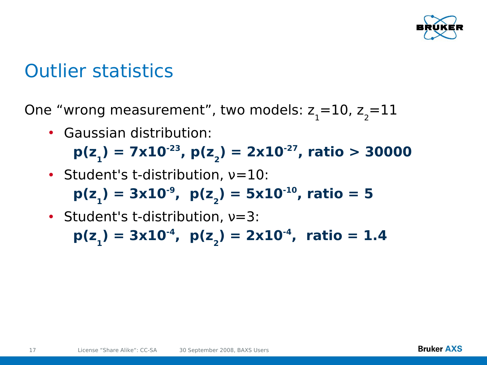

### Outlier statistics

One "wrong measurement", two models:  $z_{1}$ =10,  $z_{2}$ =11

• Gaussian distribution:

**p(z<sup>1</sup> ) = 7x10-23, p(z<sup>2</sup> ) = 2x10-27, ratio > 30000**

- Student's t-distribution,  $v=10$ :  $p(z_1) = 3x10^{-9}$ ,  $p(z_2) = 5x10^{-10}$ , ratio = 5
- Student's t-distribution,  $v=3$ :

**p(z<sup>1</sup> ) = 3x10-4, p(z<sup>2</sup> ) = 2x10-4, ratio = 1.4**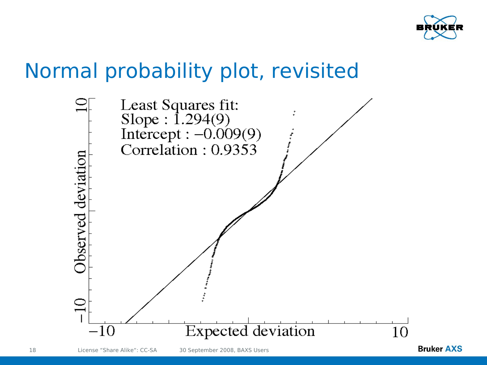

## Normal probability plot, revisited

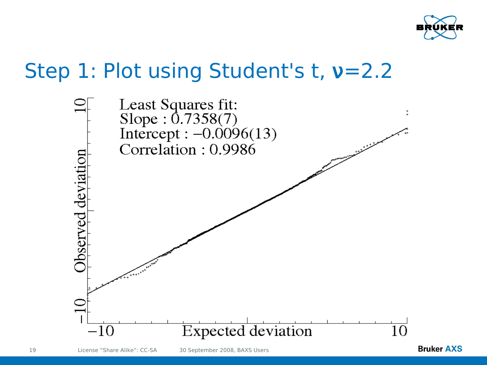

## Step 1: Plot using Student's t,  $v=2.2$



19 License "Share Alike": CC-SA 30 September 2008, BAXS Users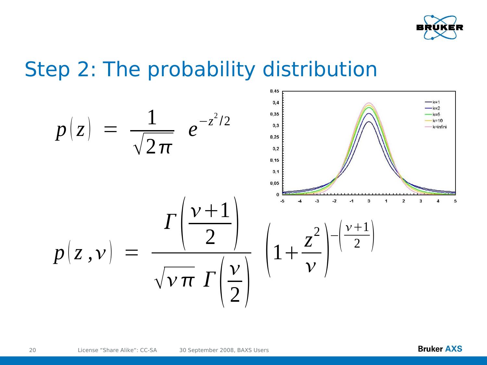

### Step 2: The probability distribution

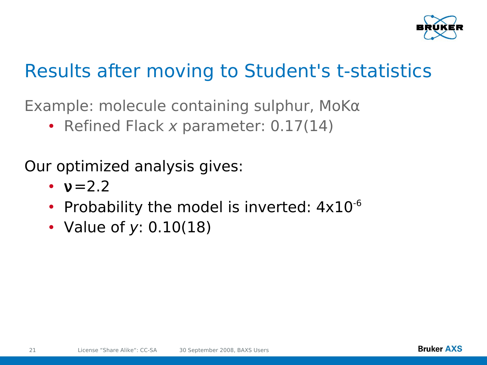

### Results after moving to Student's t-statistics

Example: molecule containing sulphur, MoKα

• Refined Flack x parameter: 0.17(14)

Our optimized analysis gives:

- $v = 2.2$
- Probability the model is inverted:  $4\times10^{-6}$
- Value of y: 0.10(18)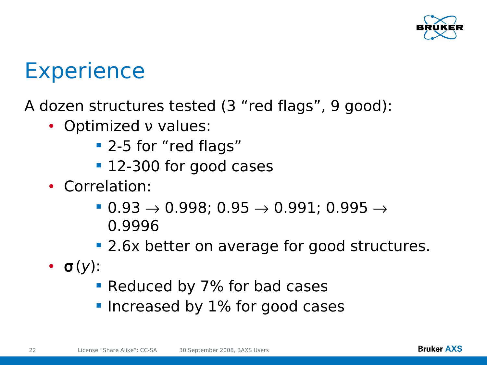

# **Experience**

#### A dozen structures tested (3 "red flags", 9 good):

- Optimized ν values:
	- **2-5 for "red flags"**
	- **12-300 for good cases**
- Correlation:
	- $\blacksquare$  0.93  $\rightarrow$  0.998; 0.95  $\rightarrow$  0.991; 0.995  $\rightarrow$ 0.9996
	- **2.6x better on average for good structures.**
- $\bullet$   $\sigma(y)$ :
	- **Reduced by 7% for bad cases**
	- **Increased by 1% for good cases**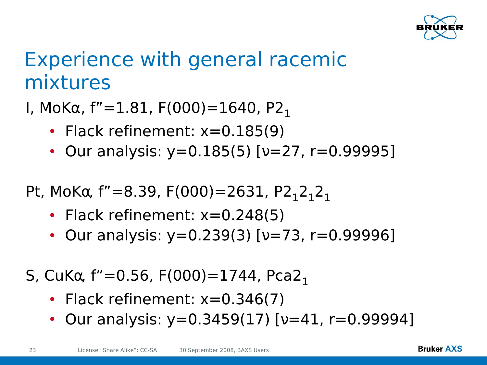

## Experience with general racemic mixtures

I, MoKα, f"=1.81, F(000)=1640, P2<sub>1</sub>

- Flack refinement: x=0.185(9)
- Our analysis:  $y=0.185(5)$  [ $v=27$ , r=0.99995]

Pt, MoK $\alpha$ , f"=8.39, F(000)=2631, P2<sub>1</sub>2<sub>1</sub>2<sub>1</sub>

- Flack refinement: x=0.248(5)
- Our analysis: y=0.239(3) [v=73, r=0.99996]

S, CuK $\alpha$ , f"=0.56, F(000)=1744, Pca2<sub>1</sub>

- Flack refinement:  $x=0.346(7)$
- Our analysis:  $y=0.3459(17)$  [ $y=41$ ,  $r=0.99994$ ]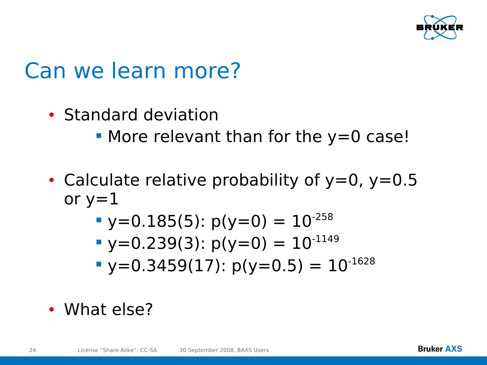

# Can we learn more?

- Standard deviation
	- $\blacksquare$  More relevant than for the y=0 case!
- Calculate relative probability of  $y=0$ ,  $y=0.5$ or  $y=1$ 
	- $\cdot y=0.185(5)$ :  $p(y=0) = 10^{-258}$
	- $\bullet$  y=0.239(3): p(y=0) = 10<sup>-1149</sup>
	- $\blacktriangleright$  y=0.3459(17): p(y=0.5) = 10<sup>-1628</sup>
- What else?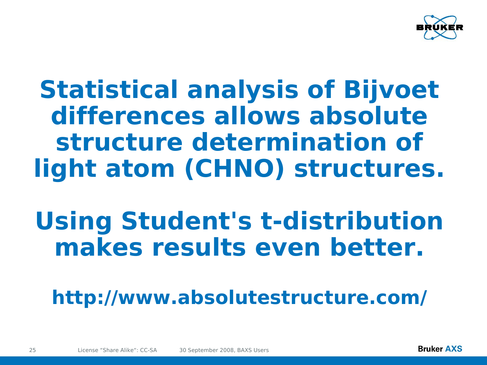

# **Statistical analysis of Bijvoet differences allows absolute structure determination of light atom (CHNO) structures.**

# **Using Student's t-distribution makes results even better.**

**http://www.absolutestructure.com/**